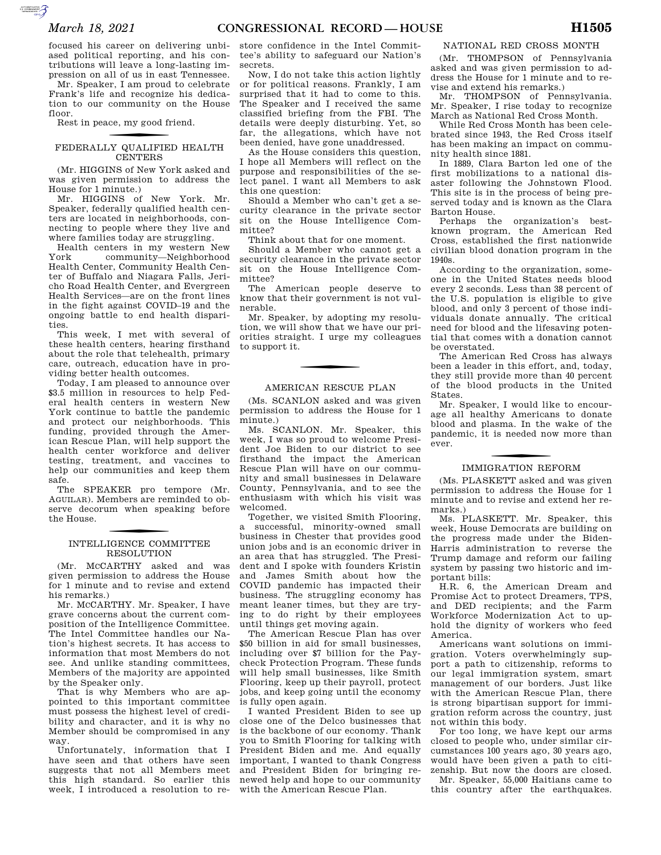focused his career on delivering unbiased political reporting, and his contributions will leave a long-lasting impression on all of us in east Tennessee.

Mr. Speaker, I am proud to celebrate Frank's life and recognize his dedication to our community on the House floor.

Rest in peace, my good friend.

## f FEDERALLY QUALIFIED HEALTH CENTERS

(Mr. HIGGINS of New York asked and was given permission to address the House for 1 minute.)

Mr. HIGGINS of New York. Mr. Speaker, federally qualified health centers are located in neighborhoods, connecting to people where they live and where families today are struggling.

Health centers in my western New community—Neighborhood Health Center, Community Health Center of Buffalo and Niagara Falls, Jericho Road Health Center, and Evergreen Health Services—are on the front lines in the fight against COVID–19 and the ongoing battle to end health disparities.

This week, I met with several of these health centers, hearing firsthand about the role that telehealth, primary care, outreach, education have in providing better health outcomes.

Today, I am pleased to announce over \$3.5 million in resources to help Federal health centers in western New York continue to battle the pandemic and protect our neighborhoods. This funding, provided through the American Rescue Plan, will help support the health center workforce and deliver testing, treatment, and vaccines to help our communities and keep them safe.

The SPEAKER pro tempore (Mr. AGUILAR). Members are reminded to observe decorum when speaking before the House.

## f INTELLIGENCE COMMITTEE RESOLUTION

(Mr. MCCARTHY asked and was given permission to address the House for 1 minute and to revise and extend his remarks.)

Mr. MCCARTHY. Mr. Speaker, I have grave concerns about the current composition of the Intelligence Committee. The Intel Committee handles our Nation's highest secrets. It has access to information that most Members do not see. And unlike standing committees, Members of the majority are appointed by the Speaker only.

That is why Members who are appointed to this important committee must possess the highest level of credibility and character, and it is why no Member should be compromised in any way.

Unfortunately, information that I have seen and that others have seen suggests that not all Members meet this high standard. So earlier this week, I introduced a resolution to re-

store confidence in the Intel Committee's ability to safeguard our Nation's secrets.

Now, I do not take this action lightly or for political reasons. Frankly, I am surprised that it had to come to this. The Speaker and I received the same classified briefing from the FBI. The details were deeply disturbing. Yet, so far, the allegations, which have not been denied, have gone unaddressed.

As the House considers this question, I hope all Members will reflect on the purpose and responsibilities of the select panel. I want all Members to ask this one question:

Should a Member who can't get a security clearance in the private sector sit on the House Intelligence Committee?

Think about that for one moment.

Should a Member who cannot get a security clearance in the private sector sit on the House Intelligence Committee?

The American people deserve to know that their government is not vulnerable.

Mr. Speaker, by adopting my resolution, we will show that we have our priorities straight. I urge my colleagues to support it.

### AMERICAN RESCUE PLAN

(Ms. SCANLON asked and was given permission to address the House for 1 minute.)

Ms. SCANLON. Mr. Speaker, this week, I was so proud to welcome President Joe Biden to our district to see firsthand the impact the American Rescue Plan will have on our community and small businesses in Delaware County, Pennsylvania, and to see the enthusiasm with which his visit was welcomed.

Together, we visited Smith Flooring, a successful, minority-owned small business in Chester that provides good union jobs and is an economic driver in an area that has struggled. The President and I spoke with founders Kristin and James Smith about how the COVID pandemic has impacted their business. The struggling economy has meant leaner times, but they are trying to do right by their employees until things get moving again.

The American Rescue Plan has over \$50 billion in aid for small businesses, including over \$7 billion for the Paycheck Protection Program. These funds will help small businesses, like Smith Flooring, keep up their payroll, protect jobs, and keep going until the economy is fully open again.

I wanted President Biden to see up close one of the Delco businesses that is the backbone of our economy. Thank you to Smith Flooring for talking with President Biden and me. And equally important, I wanted to thank Congress and President Biden for bringing renewed help and hope to our community with the American Rescue Plan.

### NATIONAL RED CROSS MONTH

(Mr. THOMPSON of Pennsylvania asked and was given permission to address the House for 1 minute and to revise and extend his remarks.)

Mr. THOMPSON of Pennsylvania. Mr. Speaker, I rise today to recognize March as National Red Cross Month.

While Red Cross Month has been celebrated since 1943, the Red Cross itself has been making an impact on community health since 1881.

In 1889, Clara Barton led one of the first mobilizations to a national disaster following the Johnstown Flood. This site is in the process of being preserved today and is known as the Clara Barton House.

Perhaps the organization's bestknown program, the American Red Cross, established the first nationwide civilian blood donation program in the 1940s.

According to the organization, someone in the United States needs blood every 2 seconds. Less than 38 percent of the U.S. population is eligible to give blood, and only 3 percent of those individuals donate annually. The critical need for blood and the lifesaving potential that comes with a donation cannot be overstated.

The American Red Cross has always been a leader in this effort, and, today, they still provide more than 40 percent of the blood products in the United States.

Mr. Speaker, I would like to encourage all healthy Americans to donate blood and plasma. In the wake of the pandemic, it is needed now more than ever.

# f IMMIGRATION REFORM

(Ms. PLASKETT asked and was given permission to address the House for 1 minute and to revise and extend her remarks.)

Ms. PLASKETT. Mr. Speaker, this week, House Democrats are building on the progress made under the Biden-Harris administration to reverse the Trump damage and reform our failing system by passing two historic and important bills:

H.R. 6, the American Dream and Promise Act to protect Dreamers, TPS, and DED recipients; and the Farm Workforce Modernization Act to uphold the dignity of workers who feed America.

Americans want solutions on immigration. Voters overwhelmingly support a path to citizenship, reforms to our legal immigration system, smart management of our borders. Just like with the American Rescue Plan, there is strong bipartisan support for immigration reform across the country, just not within this body.

For too long, we have kept our arms closed to people who, under similar circumstances 100 years ago, 30 years ago, would have been given a path to citizenship. But now the doors are closed.

Mr. Speaker, 55,000 Haitians came to this country after the earthquakes.

 $\sum_{\text{cyc}}$